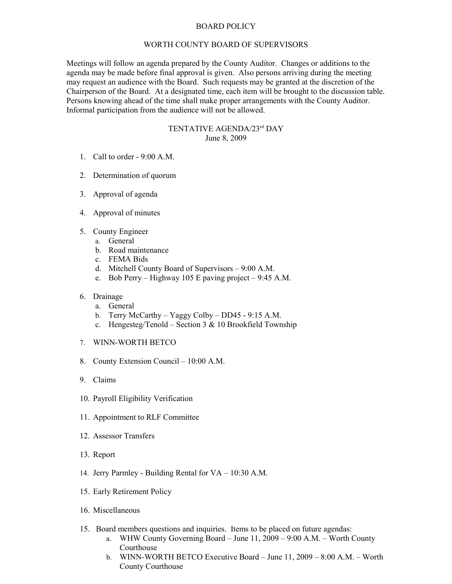## BOARD POLICY

## WORTH COUNTY BOARD OF SUPERVISORS

Meetings will follow an agenda prepared by the County Auditor. Changes or additions to the agenda may be made before final approval is given. Also persons arriving during the meeting may request an audience with the Board. Such requests may be granted at the discretion of the Chairperson of the Board. At a designated time, each item will be brought to the discussion table. Persons knowing ahead of the time shall make proper arrangements with the County Auditor. Informal participation from the audience will not be allowed.

## TENTATIVE AGENDA/23rd DAY June 8, 2009

- 1. Call to order 9:00 A.M.
- 2. Determination of quorum
- 3. Approval of agenda
- 4. Approval of minutes
- 5. County Engineer
	- a. General
	- b. Road maintenance
	- c. FEMA Bids
	- d. Mitchell County Board of Supervisors 9:00 A.M.
	- e. Bob Perry Highway 105 E paving project 9:45 A.M.
- 6. Drainage
	- a. General
	- b. Terry McCarthy Yaggy Colby DD45 9:15 A.M.
	- c. Hengesteg/Tenold Section 3 & 10 Brookfield Township
- 7. WINN-WORTH BETCO
- 8. County Extension Council 10:00 A.M.
- 9. Claims
- 10. Payroll Eligibility Verification
- 11. Appointment to RLF Committee
- 12. Assessor Transfers
- 13. Report
- 14. Jerry Parmley Building Rental for VA 10:30 A.M.
- 15. Early Retirement Policy
- 16. Miscellaneous
- 15. Board members questions and inquiries. Items to be placed on future agendas:
	- a. WHW County Governing Board June 11, 2009 9:00 A.M. Worth County Courthouse
	- b. WINN-WORTH BETCO Executive Board June 11, 2009 8:00 A.M. Worth County Courthouse